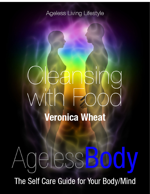### **Ageless Living Lifestyle**

# eansin **Veronica Wheat**

# Ageless Biolo

The Self Care Guide for Your Body/Mind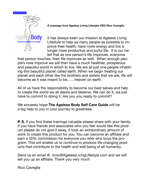



**A message from Ageless Living Lifestyle CEO Rico Caveglia** 

It has always been our mission at Ageless Living Lifestyle to help as many people as possible to improve their health, have more energy and live a longer more productive and joyful life. It is our belief that as one person's life improves, everyone

that person touches, their life improves as well. When enough people's lives improve we will then have a much healthier, prosperous and peaceful world in which to live. We are all just one people inhabiting this beautiful planet called earth. When we begin treating our planet and each other like the brothers and sisters that we are, life will become as it was meant to be……heaven on earth.

All of us have the responsibility to become our best selves and help to create the world we all desire and deserve. We can do it, we just have to commit to doing it. Are you you ready to commit?

We sincerely hope **The Ageless Body Self Care Guide** will be a big help to you in your journey to greatness.

**P. S.** If you find these trainings valuable please share with your family. If you have friends and associates who you feel would like this product please do not give it away, it took an extraordinary amount of work to create this product for you. You can become an affiliate and earn a 50% commission for everyone you refer who buys the program. This will enable us to continue to produce life changing products that contribute to the health and well being of all humanity.

Send us an email @ ricoc@AgelessLivingLifestyle.com and we will set you up an affiliate. Thank you very much

Rico Caveglia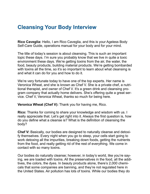### **Cleansing Your Body Interview**

**Rico Caveglia:** Hello, I am Rico Caveglia, and this is your Ageless Body Self-Care Guide, operations manual for your body and for your mind.

The title of today's session is about cleansing. This is such an important topic these days. I'm sure you probably know that we live in quite a toxic environment these days. We're getting toxins from the air, the water, the food, beauty products, building material products. We're getting bombarded with toxins all the time, so it's so important to learn about what cleansing is and what it can do for you and how to do it.

We're very fortunate today to have one of the top experts. Her name is Veronica Wheat, and she is known as Chef V. She is a private chef, a nutritional therapist, and owner of Chef V. It's a green drink and cleansing program company that actually home delivers. She's offering quite a great service. Chef V, Veronica Wheat, thanks so much for being here.

**Veronica Wheat (Chef V):** Thank you for having me, Rico.

**Rico:** Thanks for coming to share your knowledge and wisdom with us. I really appreciate that. Let's get right into it. Always the first question is, how do you define what a cleanse is? What is the definition of cleansing the body?

**Chef V:** Basically, our bodies are designed to naturally cleanse and detoxify themselves. Every night when you go to sleep, your cells start going to work detoxing all the impurities, breaking down foods, getting the nutrients from the food, and really getting rid of the rest of everything. We come in contact with so many toxins.

Our bodies do naturally cleanse; however, in today's world, like you're saying, we are loaded with toxins. All the preservatives in the food, all the additives, the colors, the dyes. In beauty products alone, there's 2,000 chemicals that some companies are banning, and they're not regulated here in the United States. Air pollution has lots of toxins. While our bodies they do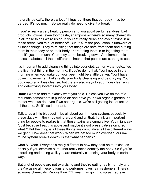naturally detoxify, there's a lot of things out there that our body – it's bombarded. It's too much. So we really do need to give it a break.

If you're really a very healthy person and you avoid perfumes, dyes, bad products, lotions, even toothpaste, shampoos – there's so many chemicals in all these things we're using. If you eat really clean and avoid toxins in all these areas, you're a lot better off. But 95% of the population is unaware of all these things. They're thinking that things are safe from them and putting them in their body or on their body or breathing them in or ingesting them, and it's just too much. Your body starts breaking down. Autoimmune diseases, diabetes, all these different ailments that people are starting to see.

It's important to add cleansing things into your diet. Lemon water detoxifies the liver first thing in the morning, if you're doing that. You'll notice in the morning when you wake up, your pee might be a little darker. You'll have bowel movements. That's really your body cleansing and detoxifying. Your body naturally does cleanse, but there's also ways to add more cleansing and detoxifying systems into your body.

**Rico:** I want to add to exactly what you said. Unless you live on top of a mountain somewhere in purified air and have your own organic garden, no matter what we do, even if we eat organic, we're still getting lots of toxins all the time. So it's so important.

Talk to us a little bit about – it's all about our immune system, especially these days with the virus going around and all that. I think an important thing for people to realize is that these toxins are cumulative. You might say "Just because I eat this apple and maybe it's got preservatives on it, so what?" But the thing is all these things are cumulative, all the different ways we get it. How does that work? When we get too much overload, our immune system breaks down? Is that what happens?

**Chef V:** Yeah. Everyone's really different in how they hold on to toxins, especially if you exercise a lot. That really helps detoxify the body. So if you're exercising and eating well, you are naturally cleansing your body in certain ways.

But a lot of people are not exercising and they're eating really horribly and they're using all these lotions and perfumes, dyes, air fresheners. There's so many chemicals. People think "Oh yeah, I'm going to spray Febreze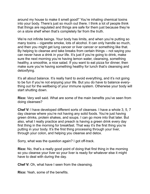around my house to make it smell good!" You're inhaling chemical toxins into your body. There's just so much out there. I think a lot of people think that things are regulated and things are safe for them just because they're on a store shelf when that's completely far from the truth.

We're not infinite beings. Your body has limits, and when you're putting so many toxins – cigarette smoke, lots of alcohol. It can only handle so much, and then you might get lung cancer or liver cancer or something like that. By helping to cleanse and take breaks from certain things – not saying you can never have a drink in your life. It's just if you're going to drink, make sure the next morning you're having lemon water, cleansing, something healthy, a smoothie, a nice salad. If you want to eat pizza for dinner, then make sure you're having something healthy for lunch that's cleansing and detoxifying.

It's all about balance. It's really hard to avoid everything, and it's not going to be fun if you're not enjoying your life. But you do have to balance everything out for the wellbeing of your immune system. Otherwise your body will start shutting down.

**Rico:** Very well said. What are some of the main benefits you've seen from doing cleanses?

**Chef V:** I have developed different sorts of cleanses. I have a whole 3, 5, 7 day cleanse where you're not having any solid foods. You're just having green drinks, protein shakes, and soups. I can go more into that later. But also, what I really practice and preach is having a green drink every day first thing in the morning for breakfast. That way it's the first thing you're putting in your body. It's the first thing processing through your liver, through your colon, and helping you cleanse and detox.

Sorry, what was the question again? I got off-track.

**Rico:** No, that's a really good point of doing that first thing in the morning so you cleanse your liver so your liver is ready for whatever else it might have to deal with during the day.

**Chef V:** Oh, what have I seen from the cleansing.

**Rico:** Yeah, some of the benefits.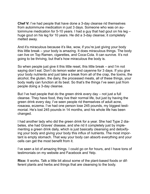**Chef V:** I've had people that have done a 3-day cleanse rid themselves from autoimmune medication in just 3 days. Someone who was on autoimmune medication for 5-10 years. I had a guy that had gout on his leg – huge gout on his leg for 10 years. He did a 3-day cleanse; it completely melted away.

And it's miraculous because it's like, wow, if you're just giving your body this little break – your body is amazing. It does miraculous things. The body can live on Top Ramen, cigarettes, and Coca-Cola. It can survive. It's not going to be thriving, but that's how miraculous the body is.

So when people just give it this little reset, this little break – and I'm not saying don't eat. Don't do lemon water and cayenne for 3 days. If you give your body nutrients and just take a break from all of the crap, the toxins, the alcohol, the gluten, the dairy, the processed meats, all of these things, your body really can function at its best. So that's the things I've seen just from people doing a 3-day cleanse.

But I've had people that do the green drink every day – not just a full cleanse. They have food, they live their normal life, but just by having the green drink every day, I've seen people rid themselves of adult acne, rosacea, eczema. I've had one person lose 245 pounds, my biggest testimonial. He's lost 245 pounds in 14 months, and his whole life has been changed.

I had another lady who did the green drink for a year. She had Type 2 diabetes, she had Graves' disease, and she rid it completely just by implementing a green drink daily, which is just basically cleansing and detoxifying your body and giving your body this influx of nutrients. The most important is empty stomach. That way your body can absorb everything and your cells can get the most benefit from it.

I've seen a lot of amazing things. I could go on for hours, and I have tons of testimonials on my website and Facebook and Yelp.

**Rico:** It works. Talk a little bit about some of the plant-based foods or different plants and herbs and things that are cleansing to the body.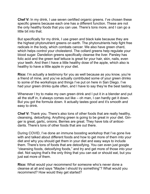**Chef V:** In my drink, I use seven certified organic greens. I've chosen these specific greens because each one has a different function. These are not the only healthy foods that you can use. There's tons more, and I can go a little bit into that.

But specifically for my drink, I use green and black kale because they are the highest phytonutrient greens on earth. The phytonutrients help fight free radicals in the body, which combats cancer. We also have green chard, which helps control your cholesterol. The collard greens help regulate your blood sugar. Dandelion greens specifically cleanse the liver. Parsley has folic acid and the green leaf lettuce is great for your hair, skin, nails, even your teeth. And then I have a little healthy dose of the apple, which also is healthy to have a little apple in your diet.

**Rico:** I'm actually a testimony for you as well because as you know, you're a friend of mine, and you've actually contributed some of your green drinks to some of the workshops and things I've put on here in San Diego. I've had your green drinks quite often, and I have to say they're the best tasting.

Whenever I try to make my own green drink and I put it in a blender and put all the stuff in, it always comes out like – oh man, I can hardly get it down. But you got the formula down. It actually tastes good and it's smooth and easy to drink.

**Chef V:** Thank you. There's also tons of other foods that are really healthy, cleansing, detoxifying. Anything green is going to be great in your diet. Ginger is great, garlic, onions. Berries are great. They have lots of antioxidants. There's tons of other foods that are out there.

During COVID, I've done an immune boosting workshop that I've gone live with and talked about different foods and how to get more of them into your diet and why you should get them in your diet and easy ways to include them. There's tons of foods that are detoxifying. You can even just google "cleansing foods, detoxifying foods," and try and get more of those into your diet. Not saying that's the only thing that you can eat or should eat, but you just eat more of them.

**Rico:** What would your recommend for someone who's never done a cleanse at all and says "Maybe I should try something"? What would you recommend? How would they get started?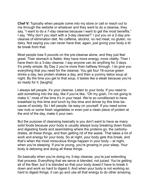**Chef V:** Typically when people come into my store or call or reach out to me through the website or whatever and they want to do a cleanse, they say, "I want to do a 7-day cleanse because I want to get the most benefits." I say, "Why don't you start with a 3-day cleanse?" I put you on a 2-day precleanse of elimination diet. No caffeine, alcohol, no red meat, no gluten, no dairy. Not saying you can never have that; again, just giving your body a little break from that.

Most people lose 5 pounds on the pre-cleanse alone, and they just feel great. Their stomach is flatter, they have more energy, more vitality. Then I have them do a 3-day cleanse. I say anyone can do anything for 3 days. It's pretty simple. By Day 2 you're more than halfway through. I do give you everything that you need for the cleanse. You get four 16-ounce green drinks a day, two protein shakes a day, and then a yummy detox soup at night. By the time you get to that soup, it tastes like a steak because you're so ready for it. [laughs]

I always tell people, it's your cleanse. Listen to your body. If you need to add something into the day, like if you're like, "Oh my gosh, I'm not going to make it," most of the time it's in your head. We're so conditioned to have breakfast by this time and lunch by this time and dinner by this time because of society. So I tell people, be easy on yourself. If you need some raw nuts or some fresh vegetables or even just a clean piece of protein at the end of the day, make it your own.

But the purpose of cleansing basically is you don't want to have as many solid foods because your body is usually always busy breaking down foods and digesting foods and assimilating where the proteins go, the carbohydrates, all these things, and then getting rid of the waste. That takes a lot of work and energy for your body. So at night, your body gets this break, and that's when the most miraculous things happen in your body – at night, when you're sleeping. If you're young, you're growing in your sleep. Your body is detoxing and doing all these things.

So basically when you're doing my 3-day cleanse, you're just extending that process. Everything that we serve is blended, not juiced. You're getting all of the fiber, but it is blended so that your body doesn't have to break it down and work so hard to digest it. And when your body is not working so hard to digest things, it can go and use all that energy to do other amazing,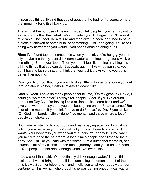miraculous things, like rid that guy of gout that he had for 10 years, or help the immunity build itself back up.

That's what the purpose of cleansing is, so I tell people if you can, try not to eat anything other than what we've provided you. But again, don't make it miserable. Don't feel like a failure and then give up because "I had to have a piece of chicken or some nuts" or something. Just keep going. You're still doing way better than you would if you hadn't done anything at all.

**Rico:** I've found too that sometimes when you think you're hungry, you really maybe are thirsty. Just drink some water sometimes or go for a walk or something. Brush your teeth. Then you don't feel like eating anything. It's all little things that you can do. But yeah, again, I like what you said: you don't have to be so strict and think that you lost it all. Anything you do is better than nothing.

Don't you find, too, that if you want to do a little bit longer one, once you get through about 3 days, it gets a lot easier, doesn't it?

**Chef V:** Yeah. I have so many people that tell me, "Oh my gosh, by Day 3, I could go two more days!" I always tell people, "Cool. If you live around here, if on Day 3 you're feeling like a million bucks, come back and we'll give you two more days and you can keep going on the 5-day cleanse." But a lot of it is mental. If you think "I have to do 5 days," by Day 3 you're like, "Oh God, I'm barely halfway done." It's mental, and that's where a lot of people can choke up.

But if you're listening to your body and really paying attention to what it's telling you – because your body will tell you what it needs and what it wants. Your body tells you when you're hungry. Your body tells you when you need to go to the bathroom. A lot of times people don't listen to their body. And just like you said with the water – I'm a nutritional therapist, and I counsel a lot of my clients in their health journeys, and you'd be surprised. 90% of people do not drink enough water. Not even close.

I had a client that said, "Oh, I definitely drink enough water." I have this scale that I would bring around if I'm counseling in person – most of the time it's via Zoom or telephone – and it tells you what your body water percentage is. This woman who thought she was getting enough was way un-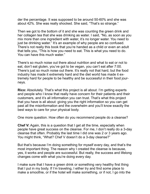der the percentage. It was supposed to be around 50-60% and she was about 42%. She was really shocked. She said, "That's so strange."

Then we got to the bottom of it and she was counting the green drink and her collagen tea that she was drinking as water. I said, "No, as soon as you mix more than one ingredient with water, it's no longer water. You need to just be drinking water." It's an example of why people are so confused. There's not really this book that you're handed as a child or even an adult that tells you, "This is how you need to eat. This is what you need to do. You can have this much water."

There's so much noise out there about nutrition and what to eat or not to eat, don't eat gluten, you've got to be vegan, you can't eat after 7:00. There's just so much noise out there. It's really not that hard, but the food industry has made it extremely hard and the diet world has made it extremely hard for people to be healthy and be successful in their food journeys.

**Rico:** Absolutely. That's what this project is all about. I'm getting experts and people who I know that really have concern for their patients and their customers, and it's all information you can trust. That's what this project that you have is all about: giving you the right information so you can get past all the misinformation and the overwhelm and you'll know exactly the best ways to care for your physical body.

One more question. How often do you recommend people do a cleanse?

**Chef V:** Again, this is a question that I get all the time, especially when people have great success on the cleanse. For me, I don't really do a 3-day cleanse that often. Probably the last time I did one was 2 or 3 years ago. You might think, "What? Chef V doesn't do a 3-day cleanse?"

But that's because I'm doing something for myself every day, and that's the most important thing. The reason why I created the cleanse is because, yes, it works and people are successful. But really, the success and lifelong changes come with what you're doing every day.

I make sure that I have a green drink or something very healthy first thing that I put in my body. If I'm traveling, I either try and find some place to make a smoothie, or if the hotel will make something, or if not, I go into the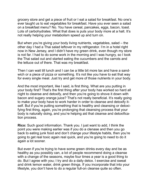grocery store and get a piece of fruit or I eat a salad for breakfast. No one's ever taught us to eat vegetables for breakfast. Have you ever seen a salad on a breakfast menu? No. You have cereal, pancakes, eggs, bacon, toast. Lots of carbohydrates. What that does is puts your body more at a halt. It's not really helping your metabolism speed up and turn on.

But when you're giving your body living nutrients, vegetables, salad – the other day I had a Thai salad leftover in my refrigerator. I'm in a hotel right now in New Jersey, and I didn't have my green drink, even though my store is not far. I had to do some work in the morning and I was hungry, so I took the Thai salad out and started eating the cucumbers and the carrots and the lettuce out of there. That was my breakfast.

Then I can wait till lunch and I can be a little bit more lax and have a sandwich or a piece of pizza or something. It's not like you have to eat that way for every single meal. Just try and get more of those nutrients in your body.

And the most important, like I said, is first thing. What are you putting in your body first? That's the first thing after your body has worked so hard all night to cleanse and detoxify, and then you're going to shove it down with bacon and sugary orange juice? That's not really beneficial. It's really going to make your body have to work harder in order to cleanse and detoxify itself. But if you're putting something that is healthy and cleansing or detoxifying first thing, again, you're prolonging that cleansing process that your body is naturally doing, and you're helping aid that cleanse and detoxification process.

**Rico:** Such good information. Thank you. I just want to add, I think the point you were making earlier was if you do a clenase and then you go back to eating junk food and don't change your lifestyle habits, then you're going to get real toxic again real quick, and you're going to need to do it again a lot sooner.

But even if you're trying to have some green drinks every day and be as healthy as you possibly can, a lot of people recommend doing a cleanse with a change of the seasons, maybe four times a year is a good thing to do. But I agree with you; I try and do a daily detox. I exercise and sweat and drink lemon water, drink green things. If you incorporate that into your lifestyle, you don't have to do a regular full-on cleanse quite so often.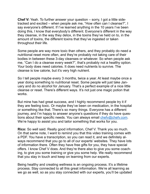**Chef V:** Yeah. To further answer your question – sorry, I got a little sidetracked and excited – when people ask me, "How often can I cleanse?", I say everyone's different. If I've learned anything in the 10 years I've been doing this, I know that everybody's different. Everyone's different in the way they cleanse, in the way they detox, in the toxins they've held on to, in the amount of toxins, the different toxins that they've ingested or taken throughout their life.

Some people are way more toxic than others, and they probably do need a nutritional reset more often, and they're probably not taking care of their bodies in between these 3-day cleanses or whatever. So when people ask me, "Can I do a cleanse every week?", that's probably not a healthy option. Your body does need calories. It does need nutrients to survive. The cleanse is low calorie, but it's very high nutrient.

So I tell people maybe every 3 months, twice a year. At least maybe once a year doing something to nutritional reset. Some people will just take January and do no alcohol for January. That's a perfect example of a nice little cleanse or reset. There's different ways. It's not just one magic potion that works.

But mine has had great success, and I highly recommend people try it if they are feeling toxic. Or maybe they've been on medication, in the hospital or something like that. There's so many things. Everyone has a different journey, and I'm happy to answer anyone's questions if they do have questions about their specific needs. You can always email [chefv@chefv.com](mailto:chefv@chefv.com). We're happy to assist you and tailor something that works for you.

**Rico:** So well said. Really good information, Chef V. Thank you so much. On that same note, I want to remind you that this video training comes with a PDF. You have a transcription, so you can read it, and we definitely always recommend that you go to all of our experts' websites. They have lots of information there. Often they have free gifts for you, they have special offers. I know Chef V does. And they're there also to give you some coaching, to give you some training or give you some help. We really recommend that you stay in touch and keep on learning from our experts.

Being healthy and creating wellness is an ongoing process. It's a lifetime process. Stay connected to all this great information. We're all learning as we go as well, so as you stay connected with our experts, you'll be updated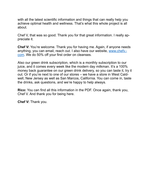with all the latest scientific information and things that can really help you achieve optimal health and wellness. That's what this whole project is all about.

Chef V, that was so good. Thank you for that great information. I really appreciate it.

**Chef V:** You're welcome. Thank you for having me. Again, if anyone needs anything, you can email, reach out. I also have our website, [www.chefv.](http://www.chefv.com) [com](http://www.chefv.com). We do 50% off your first order on cleanses.

Also our green drink subscription, which is a monthly subscription to our juice, and it comes every week like the modern day milkman. It's a 100% money back guarantee on our green drink delivery, so you can taste it, try it out. Or if you're next to one of our stores – we have a store in West Caldwell, New Jersey as well as San Marcos, California. You can come in, taste the drinks, ask questions, and we're happy to help always.

**Rico:** You can find all this information in the PDF. Once again, thank you, Chef V. And thank you for being here.

**Chef V:** Thank you.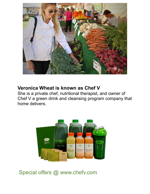

#### **Veronica Wheat is known as Chef V**

She is a private chef, nutritional therapist, and owner of Chef V a green drink and cleansing program company that home delivers.



Special offers @ www.chefv.com